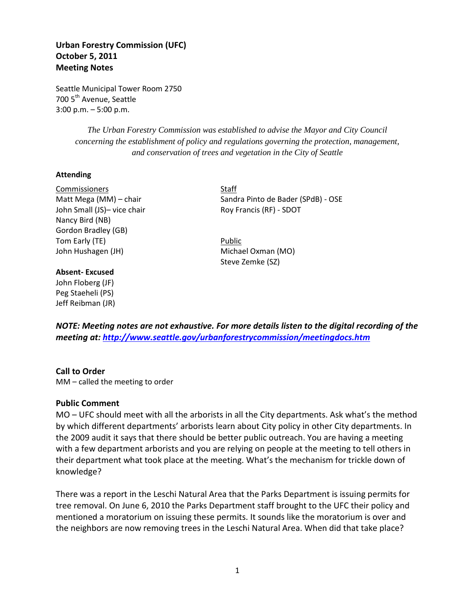# **Urban Forestry Commission (UFC) October 5, 2011 Meeting Notes**

Seattle Municipal Tower Room 2750 700 5<sup>th</sup> Avenue, Seattle 3:00 p.m. – 5:00 p.m.

> *The Urban Forestry Commission was established to advise the Mayor and City Council concerning the establishment of policy and regulations governing the protection, management, and conservation of trees and vegetation in the City of Seattle*

#### **Attending**

Commissioners Staff John Small (JS)- vice chair Roy Francis (RF) - SDOT Nancy Bird (NB) Gordon Bradley (GB) Tom Early (TE) **Public** John Hushagen (JH) Michael Oxman (MO)

#### **Absent- Excused**

John Floberg (JF) Peg Staeheli (PS) Jeff Reibman (JR)

Matt Mega (MM) – chair Sandra Pinto de Bader (SPdB) - OSE

Steve Zemke (SZ)

*NOTE: Meeting notes are not exhaustive. For more details listen to the digital recording of the meeting at:<http://www.seattle.gov/urbanforestrycommission/meetingdocs.htm>*

#### **Call to Order**

MM – called the meeting to order

#### **Public Comment**

MO – UFC should meet with all the arborists in all the City departments. Ask what's the method by which different departments' arborists learn about City policy in other City departments. In the 2009 audit it says that there should be better public outreach. You are having a meeting with a few department arborists and you are relying on people at the meeting to tell others in their department what took place at the meeting. What's the mechanism for trickle down of knowledge?

There was a report in the Leschi Natural Area that the Parks Department is issuing permits for tree removal. On June 6, 2010 the Parks Department staff brought to the UFC their policy and mentioned a moratorium on issuing these permits. It sounds like the moratorium is over and the neighbors are now removing trees in the Leschi Natural Area. When did that take place?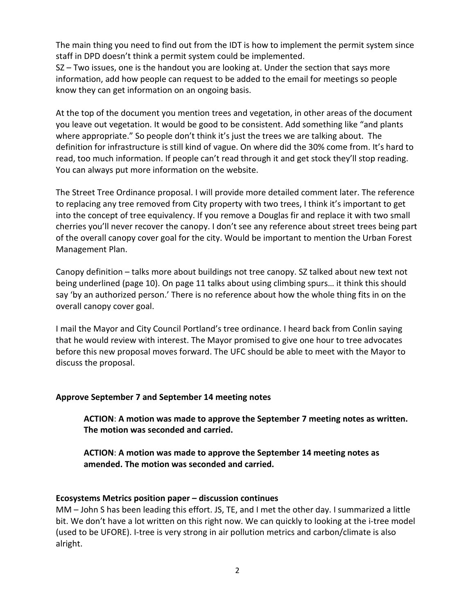The main thing you need to find out from the IDT is how to implement the permit system since staff in DPD doesn't think a permit system could be implemented.

SZ – Two issues, one is the handout you are looking at. Under the section that says more information, add how people can request to be added to the email for meetings so people know they can get information on an ongoing basis.

At the top of the document you mention trees and vegetation, in other areas of the document you leave out vegetation. It would be good to be consistent. Add something like "and plants where appropriate." So people don't think it's just the trees we are talking about. The definition for infrastructure is still kind of vague. On where did the 30% come from. It's hard to read, too much information. If people can't read through it and get stock they'll stop reading. You can always put more information on the website.

The Street Tree Ordinance proposal. I will provide more detailed comment later. The reference to replacing any tree removed from City property with two trees, I think it's important to get into the concept of tree equivalency. If you remove a Douglas fir and replace it with two small cherries you'll never recover the canopy. I don't see any reference about street trees being part of the overall canopy cover goal for the city. Would be important to mention the Urban Forest Management Plan.

Canopy definition – talks more about buildings not tree canopy. SZ talked about new text not being underlined (page 10). On page 11 talks about using climbing spurs… it think this should say 'by an authorized person.' There is no reference about how the whole thing fits in on the overall canopy cover goal.

I mail the Mayor and City Council Portland's tree ordinance. I heard back from Conlin saying that he would review with interest. The Mayor promised to give one hour to tree advocates before this new proposal moves forward. The UFC should be able to meet with the Mayor to discuss the proposal.

# **Approve September 7 and September 14 meeting notes**

**ACTION**: **A motion was made to approve the September 7 meeting notes as written. The motion was seconded and carried.**

**ACTION**: **A motion was made to approve the September 14 meeting notes as amended. The motion was seconded and carried.** 

### **Ecosystems Metrics position paper – discussion continues**

MM – John S has been leading this effort. JS, TE, and I met the other day. I summarized a little bit. We don't have a lot written on this right now. We can quickly to looking at the i-tree model (used to be UFORE). I-tree is very strong in air pollution metrics and carbon/climate is also alright.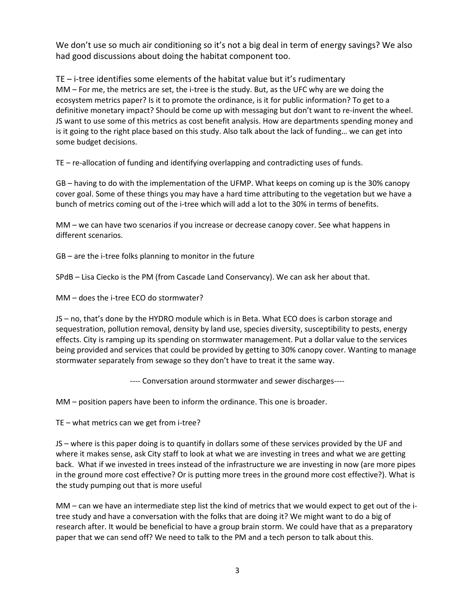We don't use so much air conditioning so it's not a big deal in term of energy savings? We also had good discussions about doing the habitat component too.

TE – i-tree identifies some elements of the habitat value but it's rudimentary MM – For me, the metrics are set, the i-tree is the study. But, as the UFC why are we doing the ecosystem metrics paper? Is it to promote the ordinance, is it for public information? To get to a definitive monetary impact? Should be come up with messaging but don't want to re-invent the wheel. JS want to use some of this metrics as cost benefit analysis. How are departments spending money and is it going to the right place based on this study. Also talk about the lack of funding… we can get into some budget decisions.

TE – re-allocation of funding and identifying overlapping and contradicting uses of funds.

GB – having to do with the implementation of the UFMP. What keeps on coming up is the 30% canopy cover goal. Some of these things you may have a hard time attributing to the vegetation but we have a bunch of metrics coming out of the i-tree which will add a lot to the 30% in terms of benefits.

MM – we can have two scenarios if you increase or decrease canopy cover. See what happens in different scenarios.

GB – are the i-tree folks planning to monitor in the future

SPdB – Lisa Ciecko is the PM (from Cascade Land Conservancy). We can ask her about that.

MM – does the i-tree ECO do stormwater?

JS – no, that's done by the HYDRO module which is in Beta. What ECO does is carbon storage and sequestration, pollution removal, density by land use, species diversity, susceptibility to pests, energy effects. City is ramping up its spending on stormwater management. Put a dollar value to the services being provided and services that could be provided by getting to 30% canopy cover. Wanting to manage stormwater separately from sewage so they don't have to treat it the same way.

---- Conversation around stormwater and sewer discharges----

MM – position papers have been to inform the ordinance. This one is broader.

TE – what metrics can we get from i-tree?

JS – where is this paper doing is to quantify in dollars some of these services provided by the UF and where it makes sense, ask City staff to look at what we are investing in trees and what we are getting back. What if we invested in trees instead of the infrastructure we are investing in now (are more pipes in the ground more cost effective? Or is putting more trees in the ground more cost effective?). What is the study pumping out that is more useful

MM – can we have an intermediate step list the kind of metrics that we would expect to get out of the itree study and have a conversation with the folks that are doing it? We might want to do a big of research after. It would be beneficial to have a group brain storm. We could have that as a preparatory paper that we can send off? We need to talk to the PM and a tech person to talk about this.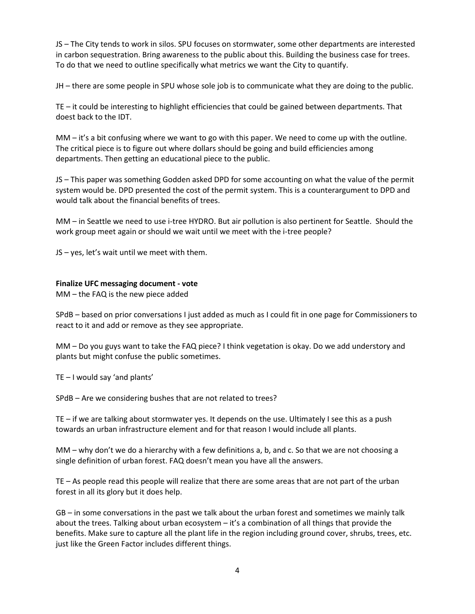JS – The City tends to work in silos. SPU focuses on stormwater, some other departments are interested in carbon sequestration. Bring awareness to the public about this. Building the business case for trees. To do that we need to outline specifically what metrics we want the City to quantify.

JH – there are some people in SPU whose sole job is to communicate what they are doing to the public.

TE – it could be interesting to highlight efficiencies that could be gained between departments. That doest back to the IDT.

MM – it's a bit confusing where we want to go with this paper. We need to come up with the outline. The critical piece is to figure out where dollars should be going and build efficiencies among departments. Then getting an educational piece to the public.

JS – This paper was something Godden asked DPD for some accounting on what the value of the permit system would be. DPD presented the cost of the permit system. This is a counterargument to DPD and would talk about the financial benefits of trees.

MM – in Seattle we need to use i-tree HYDRO. But air pollution is also pertinent for Seattle. Should the work group meet again or should we wait until we meet with the i-tree people?

JS – yes, let's wait until we meet with them.

### **Finalize UFC messaging document - vote**

MM – the FAQ is the new piece added

SPdB – based on prior conversations I just added as much as I could fit in one page for Commissioners to react to it and add or remove as they see appropriate.

MM – Do you guys want to take the FAQ piece? I think vegetation is okay. Do we add understory and plants but might confuse the public sometimes.

TE – I would say 'and plants'

SPdB – Are we considering bushes that are not related to trees?

TE – if we are talking about stormwater yes. It depends on the use. Ultimately I see this as a push towards an urban infrastructure element and for that reason I would include all plants.

MM – why don't we do a hierarchy with a few definitions a, b, and c. So that we are not choosing a single definition of urban forest. FAQ doesn't mean you have all the answers.

TE – As people read this people will realize that there are some areas that are not part of the urban forest in all its glory but it does help.

GB – in some conversations in the past we talk about the urban forest and sometimes we mainly talk about the trees. Talking about urban ecosystem – it's a combination of all things that provide the benefits. Make sure to capture all the plant life in the region including ground cover, shrubs, trees, etc. just like the Green Factor includes different things.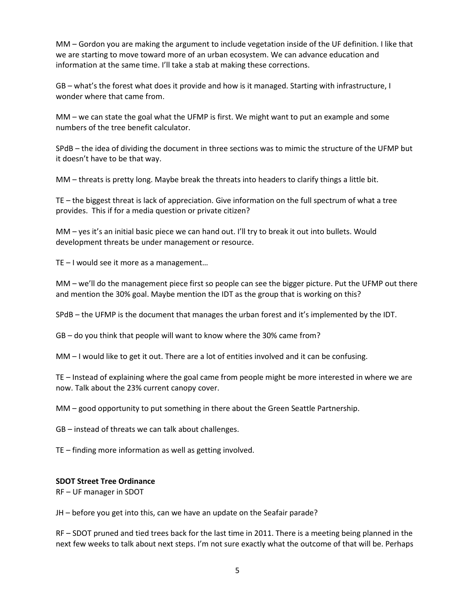MM – Gordon you are making the argument to include vegetation inside of the UF definition. I like that we are starting to move toward more of an urban ecosystem. We can advance education and information at the same time. I'll take a stab at making these corrections.

GB – what's the forest what does it provide and how is it managed. Starting with infrastructure, I wonder where that came from.

MM – we can state the goal what the UFMP is first. We might want to put an example and some numbers of the tree benefit calculator.

SPdB – the idea of dividing the document in three sections was to mimic the structure of the UFMP but it doesn't have to be that way.

MM – threats is pretty long. Maybe break the threats into headers to clarify things a little bit.

TE – the biggest threat is lack of appreciation. Give information on the full spectrum of what a tree provides. This if for a media question or private citizen?

MM – yes it's an initial basic piece we can hand out. I'll try to break it out into bullets. Would development threats be under management or resource.

TE – I would see it more as a management…

MM – we'll do the management piece first so people can see the bigger picture. Put the UFMP out there and mention the 30% goal. Maybe mention the IDT as the group that is working on this?

SPdB – the UFMP is the document that manages the urban forest and it's implemented by the IDT.

GB – do you think that people will want to know where the 30% came from?

MM – I would like to get it out. There are a lot of entities involved and it can be confusing.

TE – Instead of explaining where the goal came from people might be more interested in where we are now. Talk about the 23% current canopy cover.

MM – good opportunity to put something in there about the Green Seattle Partnership.

GB – instead of threats we can talk about challenges.

TE – finding more information as well as getting involved.

#### **SDOT Street Tree Ordinance**

RF – UF manager in SDOT

JH – before you get into this, can we have an update on the Seafair parade?

RF – SDOT pruned and tied trees back for the last time in 2011. There is a meeting being planned in the next few weeks to talk about next steps. I'm not sure exactly what the outcome of that will be. Perhaps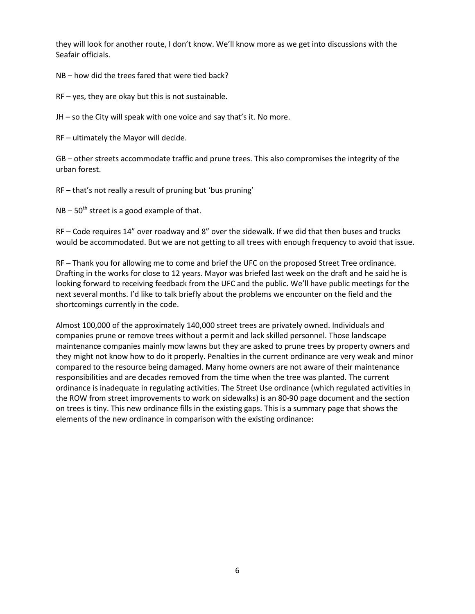they will look for another route, I don't know. We'll know more as we get into discussions with the Seafair officials.

NB – how did the trees fared that were tied back?

RF – yes, they are okay but this is not sustainable.

JH – so the City will speak with one voice and say that's it. No more.

RF – ultimately the Mayor will decide.

GB – other streets accommodate traffic and prune trees. This also compromises the integrity of the urban forest.

RF – that's not really a result of pruning but 'bus pruning'

 $NB - 50<sup>th</sup>$  street is a good example of that.

RF – Code requires 14" over roadway and 8" over the sidewalk. If we did that then buses and trucks would be accommodated. But we are not getting to all trees with enough frequency to avoid that issue.

RF – Thank you for allowing me to come and brief the UFC on the proposed Street Tree ordinance. Drafting in the works for close to 12 years. Mayor was briefed last week on the draft and he said he is looking forward to receiving feedback from the UFC and the public. We'll have public meetings for the next several months. I'd like to talk briefly about the problems we encounter on the field and the shortcomings currently in the code.

Almost 100,000 of the approximately 140,000 street trees are privately owned. Individuals and companies prune or remove trees without a permit and lack skilled personnel. Those landscape maintenance companies mainly mow lawns but they are asked to prune trees by property owners and they might not know how to do it properly. Penalties in the current ordinance are very weak and minor compared to the resource being damaged. Many home owners are not aware of their maintenance responsibilities and are decades removed from the time when the tree was planted. The current ordinance is inadequate in regulating activities. The Street Use ordinance (which regulated activities in the ROW from street improvements to work on sidewalks) is an 80-90 page document and the section on trees is tiny. This new ordinance fills in the existing gaps. This is a summary page that shows the elements of the new ordinance in comparison with the existing ordinance: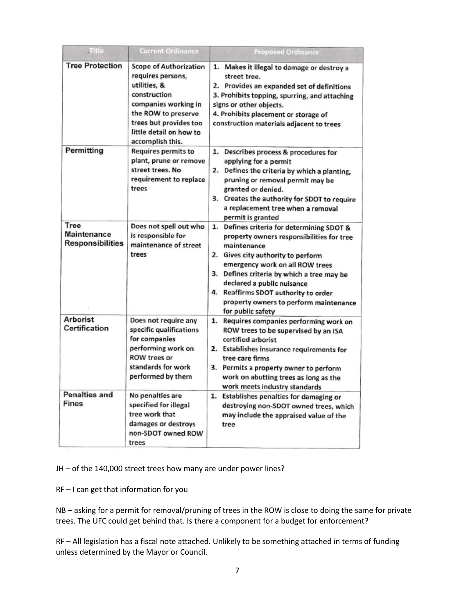| .Title                                  | <b>Current Ordinance</b>                                                                                                                                                                                   | <b>Proposed Ordinance</b>                                                                                                                                                                                                                                                                                                                                          |
|-----------------------------------------|------------------------------------------------------------------------------------------------------------------------------------------------------------------------------------------------------------|--------------------------------------------------------------------------------------------------------------------------------------------------------------------------------------------------------------------------------------------------------------------------------------------------------------------------------------------------------------------|
| <b>Tree Protection</b>                  | <b>Scope of Authorization</b><br>requires persons,<br>utilities, &<br>construction<br>companies working in<br>the ROW to preserve<br>trees but provides too<br>little detail on how to<br>accomplish this. | 1. Makes it illegal to damage or destroy a<br>street tree.<br>2. Provides an expanded set of definitions<br>3. Prohibits topping, spurring, and attaching<br>signs or other objects.<br>4. Prohibits placement or storage of<br>construction materials adjacent to trees                                                                                           |
| Permitting                              | Requires permits to<br>plant, prune or remove<br>street trees. No<br>requirement to replace<br>trees                                                                                                       | 1. Describes process & procedures for<br>applying for a permit<br>2. Defines the criteria by which a planting,<br>pruning or removal permit may be<br>granted or denied.<br>3. Creates the authority for SDOT to require<br>a replacement tree when a removal<br>permit is granted                                                                                 |
| Tree<br>Maintenance<br>Responsibilities | Does not spell out who<br>is responsible for<br>maintenance of street<br>trees                                                                                                                             | 1. Defines criteria for determining SDOT &<br>property owners responsibilities for tree<br>maintenance<br>2. Gives city authority to perform<br>emergency work on all ROW trees<br>3. Defines criteria by which a tree may be<br>declared a public nuisance<br>4. Reaffirms SDOT authority to order<br>property owners to perform maintenance<br>for public safety |
| <b>Arborist</b><br>Certification        | Does not require any<br>specific qualifications<br>for companies<br>performing work on<br><b>ROW trees or</b><br>standards for work<br>performed by them                                                   | 1. Requires companies performing work on<br>ROW trees to be supervised by an ISA<br>certified arborist<br>2. Establishes insurance requirements for<br>tree care firms<br>3. Permits a property owner to perform<br>work on abutting trees as long as the<br>work meets industry standards                                                                         |
| <b>Penalties and</b><br><b>Fines</b>    | No penalties are<br>specified for illegal<br>tree work that<br>damages or destroys<br>non-SDOT owned ROW<br>trees                                                                                          | 1. Establishes penalties for damaging or<br>destroying non-SDOT owned trees, which<br>may include the appraised value of the<br>tree                                                                                                                                                                                                                               |

JH – of the 140,000 street trees how many are under power lines?

RF – I can get that information for you

NB – asking for a permit for removal/pruning of trees in the ROW is close to doing the same for private trees. The UFC could get behind that. Is there a component for a budget for enforcement?

RF – All legislation has a fiscal note attached. Unlikely to be something attached in terms of funding unless determined by the Mayor or Council.